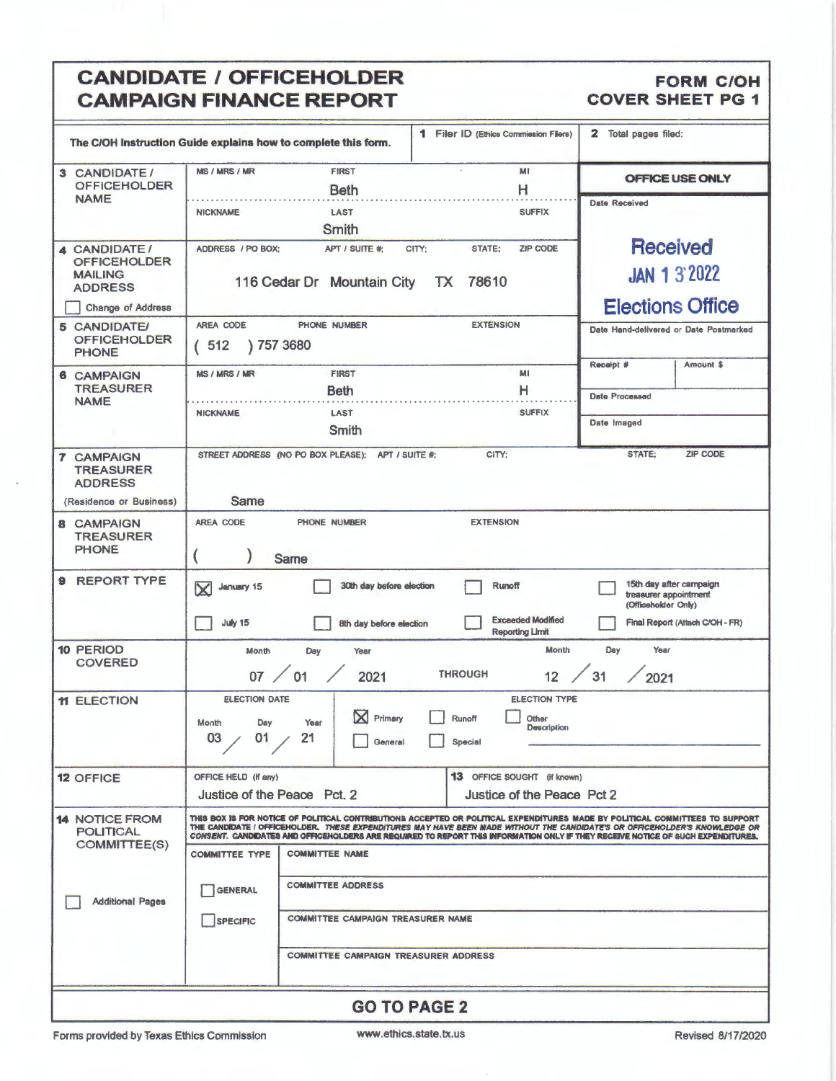### CANDIDATE / OFFICEHOLDER FORM CON<br>
CAMPAIGN FINANCE REPORT COVER SHEET PG 1 **CAMPAIGN FINANCE REPORT**

|                                                                                                                                                                                                                                                                                                                                                                                                                                                                          | 1 Filer ID (Ethics Commission Filers)<br>The C/OH instruction Guide explains how to complete this form.                                                                                    | 2<br>Total pages filed:                                                 |  |  |
|--------------------------------------------------------------------------------------------------------------------------------------------------------------------------------------------------------------------------------------------------------------------------------------------------------------------------------------------------------------------------------------------------------------------------------------------------------------------------|--------------------------------------------------------------------------------------------------------------------------------------------------------------------------------------------|-------------------------------------------------------------------------|--|--|
| 3 CANDIDATE/<br><b>OFFICEHOLDER</b>                                                                                                                                                                                                                                                                                                                                                                                                                                      | <b>MS / MRS / MR</b><br><b>FIRST</b><br>MI<br>н<br><b>Beth</b>                                                                                                                             | <b>OFFICE USE ONLY</b>                                                  |  |  |
| <b>NAME</b>                                                                                                                                                                                                                                                                                                                                                                                                                                                              | <b>SUFFIX</b><br><b>NICKNAME</b><br>LAST<br>Smith                                                                                                                                          | <b>Date Received</b>                                                    |  |  |
| 4 CANDIDATE /<br><b>OFFICEHOLDER</b><br><b>MAILING</b><br><b>ADDRESS</b><br>Change of Address                                                                                                                                                                                                                                                                                                                                                                            | ZIP CODE<br>ADDRESS / PO BOX:<br>APT / SUITE #:<br>CITY:<br>STATE;<br>116 Cedar Dr Mountain City<br>TX 78610                                                                               | <b>Received</b><br><b>JAN 1 3 2022</b><br><b>Elections Office</b>       |  |  |
| <b>5 CANDIDATE/</b><br><b>OFFICEHOLDER</b>                                                                                                                                                                                                                                                                                                                                                                                                                               | AREA CODE<br><b>EXTENSION</b><br>PHONE NUMBER<br>Date Hand-delivered or Date Postmarked<br>(512)<br>757 3680                                                                               |                                                                         |  |  |
| <b>PHONE</b><br><b>6 CAMPAIGN</b>                                                                                                                                                                                                                                                                                                                                                                                                                                        | <b>FIRST</b><br>MI<br><b>MS / MRS / MR</b>                                                                                                                                                 | Receipt #<br>Amount \$                                                  |  |  |
| <b>TREASURER</b><br><b>NAME</b>                                                                                                                                                                                                                                                                                                                                                                                                                                          | н<br><b>Beth</b><br>LAST<br><b>SUFFIX</b><br><b>NICKNAME</b>                                                                                                                               | <b>Date Processed</b>                                                   |  |  |
|                                                                                                                                                                                                                                                                                                                                                                                                                                                                          | Smith                                                                                                                                                                                      | Date Imaged                                                             |  |  |
| <b>7 CAMPAIGN</b><br><b>TREASURER</b><br><b>ADDRESS</b><br>(Residence or Business)                                                                                                                                                                                                                                                                                                                                                                                       | STREET ADDRESS (NO PO BOX PLEASE);<br>CITY;<br>STATE;<br><b>ZIP CODE</b><br>APT / SUITE #:                                                                                                 |                                                                         |  |  |
|                                                                                                                                                                                                                                                                                                                                                                                                                                                                          | Same                                                                                                                                                                                       |                                                                         |  |  |
| <b>8 CAMPAIGN</b><br><b>TREASURER</b><br><b>PHONE</b>                                                                                                                                                                                                                                                                                                                                                                                                                    | AREA CODE<br>PHONE NUMBER<br><b>EXTENSION</b><br>Same                                                                                                                                      |                                                                         |  |  |
| <b>REPORT TYPE</b><br>9                                                                                                                                                                                                                                                                                                                                                                                                                                                  | 30th day before election<br><b>Runoff</b><br>January 15<br>$\overline{\mathsf{X}}$                                                                                                         | 15th day after campaign<br>treasurer appointment<br>(Officeholder Only) |  |  |
|                                                                                                                                                                                                                                                                                                                                                                                                                                                                          | <b>Exceeded Modified</b><br>July 15<br>8th day before election<br><b>Reporting Limit</b>                                                                                                   | Final Report (Attach C/OH - FR)                                         |  |  |
| <b>10 PERIOD</b><br><b>COVERED</b>                                                                                                                                                                                                                                                                                                                                                                                                                                       | Month<br>Month<br>Day<br>Year<br><b>THROUGH</b><br>07<br>01<br>2021<br>12                                                                                                                  | Day<br>Year<br>31<br>2021                                               |  |  |
| <b>11 ELECTION</b>                                                                                                                                                                                                                                                                                                                                                                                                                                                       | <b>ELECTION DATE</b><br><b>ELECTION TYPE</b><br>$\boxtimes$<br>Primary<br>Runoff<br><b>Other</b><br>Month<br>Day<br>Year<br>Description<br>$\angle$ 01<br>- 21<br>03<br>Special<br>General |                                                                         |  |  |
| <b>12 OFFICE</b>                                                                                                                                                                                                                                                                                                                                                                                                                                                         | <b>13</b> OFFICE SOUGHT (if known)<br>OFFICE HELD (if any)<br>Justice of the Peace Pct 2<br>Justice of the Peace Pct. 2                                                                    |                                                                         |  |  |
| <b>14 NOTICE FROM</b><br>THIS BOX IS FOR NOTICE OF POLITICAL CONTRIBUTIONS ACCEPTED OR POLITICAL EXPENDITURES MADE BY POLITICAL COMMITTEES TO SUPPORT<br>THE CANDIDATE / OFFICEHOLDER. <i>THESE EXPENDITURES MAY HAVE BEEN MADE WITHOUT THE CANDIDATE'S OR OFFICEHOLDER'S KNOWLEDGE OR</i><br><b>POLITICAL</b><br>CONSENT. CANDIDATES AND OFFICEHOLDERS ARE REQUIRED TO REPORT THIS INFORMATION ONLY IF THEY RECEIVE NOTICE OF SUCH EXPENDITURES.<br><b>COMMITTEE(S)</b> |                                                                                                                                                                                            |                                                                         |  |  |
|                                                                                                                                                                                                                                                                                                                                                                                                                                                                          | <b>COMMITTEE TYPE</b><br><b>COMMITTEE NAME</b>                                                                                                                                             |                                                                         |  |  |
| <b>Additional Pages</b>                                                                                                                                                                                                                                                                                                                                                                                                                                                  | <b>COMMITTEE ADDRESS</b><br><b>GENERAL</b>                                                                                                                                                 |                                                                         |  |  |
|                                                                                                                                                                                                                                                                                                                                                                                                                                                                          | <b>COMMITTEE CAMPAIGN TREASURER NAME</b><br><b>SPECIFIC</b>                                                                                                                                |                                                                         |  |  |
|                                                                                                                                                                                                                                                                                                                                                                                                                                                                          | <b>COMMITTEE CAMPAIGN TREASURER ADDRESS</b>                                                                                                                                                |                                                                         |  |  |
|                                                                                                                                                                                                                                                                                                                                                                                                                                                                          | <b>GO TO PAGE 2</b>                                                                                                                                                                        |                                                                         |  |  |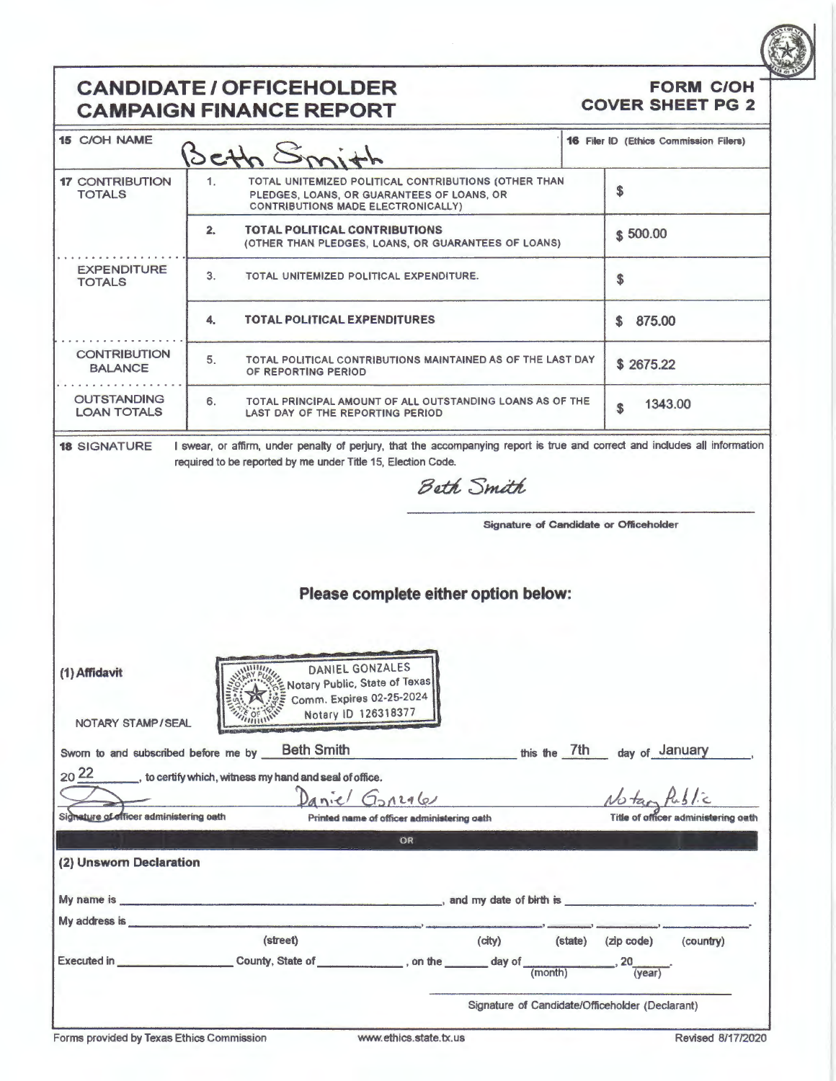

### **CANDIDATE/ OFFICEHOLDER CAMPAIGN FINANCE REPORT**

#### **FORM C/OH COVER SHEET PG 2**

| <b>15 C/OH NAME</b>                      | BEth &                                                                                                                                                                                                                        |                                                 |         |                             | <b>16 Filer ID (Ethics Commission Filers)</b> |
|------------------------------------------|-------------------------------------------------------------------------------------------------------------------------------------------------------------------------------------------------------------------------------|-------------------------------------------------|---------|-----------------------------|-----------------------------------------------|
| <b>17 CONTRIBUTION</b><br><b>TOTALS</b>  | 1.<br>TOTAL UNITEMIZED POLITICAL CONTRIBUTIONS (OTHER THAN<br>PLEDGES, LOANS, OR GUARANTEES OF LOANS, OR<br><b>CONTRIBUTIONS MADE ELECTRONICALLY)</b>                                                                         |                                                 |         | \$                          |                                               |
|                                          | 2.<br>TOTAL POLITICAL CONTRIBUTIONS<br>(OTHER THAN PLEDGES, LOANS, OR GUARANTEES OF LOANS)                                                                                                                                    |                                                 |         | \$500.00                    |                                               |
| <b>EXPENDITURE</b><br><b>TOTALS</b>      | 3.<br>TOTAL UNITEMIZED POLITICAL EXPENDITURE.                                                                                                                                                                                 |                                                 |         | \$                          |                                               |
|                                          | TOTAL POLITICAL EXPENDITURES<br>4.                                                                                                                                                                                            |                                                 |         | 875.00<br>S.                |                                               |
| <b>CONTRIBUTION</b><br><b>BALANCE</b>    | 5.<br>TOTAL POLITICAL CONTRIBUTIONS MAINTAINED AS OF THE LAST DAY<br>OF REPORTING PERIOD                                                                                                                                      |                                                 |         | \$2675.22                   |                                               |
| <b>OUTSTANDING</b><br><b>LOAN TOTALS</b> | 6.<br>TOTAL PRINCIPAL AMOUNT OF ALL OUTSTANDING LOANS AS OF THE<br>LAST DAY OF THE REPORTING PERIOD                                                                                                                           |                                                 |         | 1343.00<br>\$               |                                               |
| <b>18 SIGNATURE</b>                      | I swear, or affirm, under penalty of perjury, that the accompanying report is true and correct and includes all information                                                                                                   |                                                 |         |                             |                                               |
|                                          | required to be reported by me under Title 15, Election Code.                                                                                                                                                                  | Beth Smith                                      |         |                             |                                               |
|                                          |                                                                                                                                                                                                                               |                                                 |         |                             |                                               |
|                                          |                                                                                                                                                                                                                               | Signature of Candidate or Officeholder          |         |                             |                                               |
|                                          |                                                                                                                                                                                                                               |                                                 |         |                             |                                               |
|                                          |                                                                                                                                                                                                                               |                                                 |         |                             |                                               |
|                                          |                                                                                                                                                                                                                               |                                                 |         |                             |                                               |
|                                          | Please complete either option below:                                                                                                                                                                                          |                                                 |         |                             |                                               |
|                                          |                                                                                                                                                                                                                               |                                                 |         |                             |                                               |
|                                          |                                                                                                                                                                                                                               |                                                 |         |                             |                                               |
|                                          |                                                                                                                                                                                                                               |                                                 |         |                             |                                               |
| (1) Affidavit                            | DANIEL GONZALES<br>Notary Public, State of Texas                                                                                                                                                                              |                                                 |         |                             |                                               |
|                                          | Comm. Expires 02-25-2024                                                                                                                                                                                                      |                                                 |         |                             |                                               |
| NOTARY STAMP/SEAL                        | Notary ID 126318377                                                                                                                                                                                                           |                                                 |         |                             |                                               |
|                                          |                                                                                                                                                                                                                               |                                                 |         |                             |                                               |
|                                          | Sworn to and subscribed before me by Beth Smith                                                                                                                                                                               |                                                 |         | this the 7th day of January |                                               |
| $20^{22}$                                | to certify which, witness my hand and seal of office.                                                                                                                                                                         |                                                 |         |                             |                                               |
|                                          | Daniel Gonzales                                                                                                                                                                                                               |                                                 |         |                             |                                               |
| Signature of officer administering oath  | Printed name of officer administering oath                                                                                                                                                                                    |                                                 |         |                             | Title of officer administering oath           |
|                                          |                                                                                                                                                                                                                               |                                                 |         |                             |                                               |
|                                          | OR                                                                                                                                                                                                                            |                                                 |         |                             |                                               |
| (2) Unsworn Declaration                  |                                                                                                                                                                                                                               |                                                 |         |                             |                                               |
|                                          |                                                                                                                                                                                                                               |                                                 |         |                             |                                               |
|                                          |                                                                                                                                                                                                                               |                                                 |         |                             |                                               |
|                                          | My address is the contract of the contract of the contract of the contract of the contract of the contract of the contract of the contract of the contract of the contract of the contract of the contract of the contract of |                                                 |         |                             |                                               |
|                                          | (street)                                                                                                                                                                                                                      | (city)                                          | (state) | (zip code)                  | (country)                                     |
|                                          | Executed in _______________________County, State of ____________, on the ______ day of                                                                                                                                        | (month)                                         |         | $\_$ , 20 $\_$<br>(vear)    |                                               |
|                                          |                                                                                                                                                                                                                               |                                                 |         |                             |                                               |
|                                          |                                                                                                                                                                                                                               | Signature of Candidate/Officeholder (Declarant) |         |                             |                                               |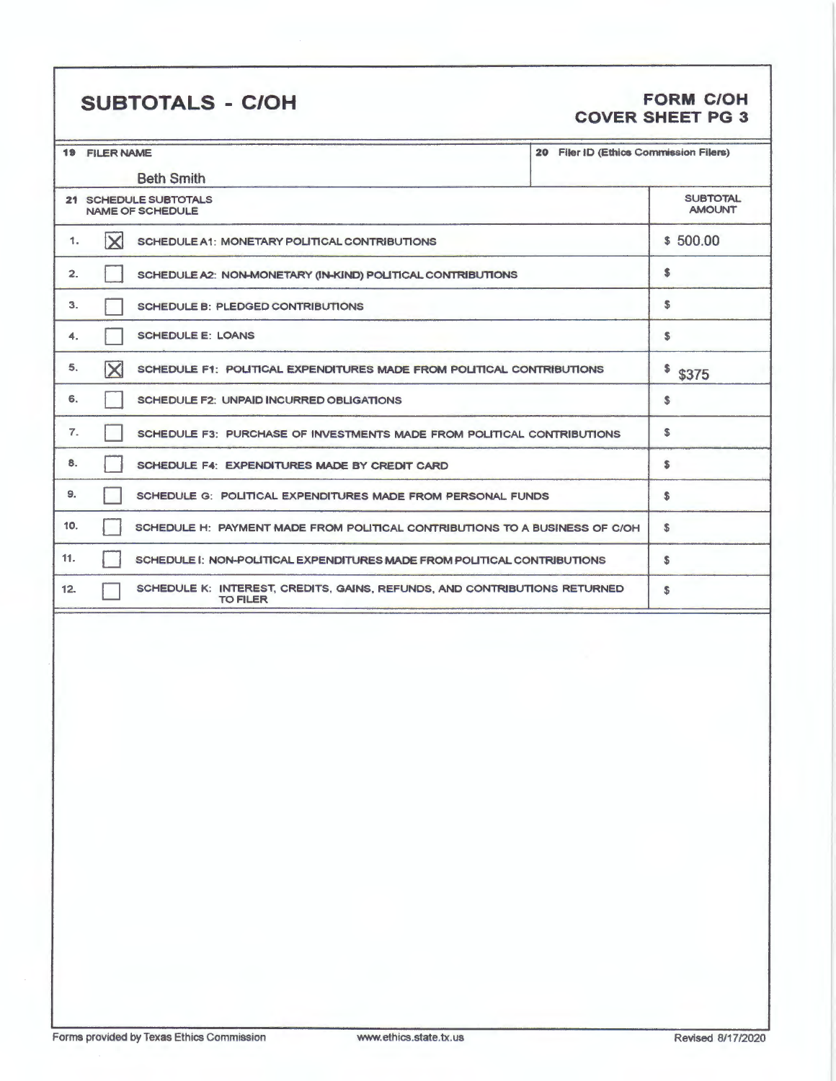## **SUBTOTALS** - **C/OH FORM C/OH**

## **COVER SHEET PG 3**

| 20 Filer ID (Ethics Commission Filers)<br><b>19 FILER NAME</b> |                                                                                              |          |                                  |
|----------------------------------------------------------------|----------------------------------------------------------------------------------------------|----------|----------------------------------|
|                                                                | <b>Beth Smith</b>                                                                            |          |                                  |
|                                                                | 21 SCHEDULE SUBTOTALS<br><b>NAME OF SCHEDULE</b>                                             |          | <b>SUBTOTAL</b><br><b>AMOUNT</b> |
| $\mathsf{X}% _{0}$<br>1.                                       | SCHEDULE A1: MONETARY POLITICAL CONTRIBUTIONS                                                | \$500.00 |                                  |
| 2.                                                             | SCHEDULE A2: NON-MONETARY (IN-KIND) POLITICAL CONTRIBUTIONS                                  |          | \$                               |
| 3.                                                             | SCHEDULE B: PLEDGED CONTRIBUTIONS                                                            |          | \$                               |
| 4.                                                             | <b>SCHEDULE E: LOANS</b>                                                                     |          | \$                               |
| $\overline{\mathsf{X}}$<br>5.                                  | SCHEDULE F1: POLITICAL EXPENDITURES MADE FROM POLITICAL CONTRIBUTIONS                        |          | \$<br>\$375                      |
| 6.                                                             | <b>SCHEDULE F2: UNPAID INCURRED OBLIGATIONS</b>                                              |          | \$                               |
| 7.                                                             | SCHEDULE F3: PURCHASE OF INVESTMENTS MADE FROM POLITICAL CONTRIBUTIONS                       |          | \$                               |
| 8.                                                             | SCHEDULE F4: EXPENDITURES MADE BY CREDIT CARD                                                |          | \$                               |
| 9.                                                             | SCHEDULE G: POLITICAL EXPENDITURES MADE FROM PERSONAL FUNDS                                  |          | \$                               |
| 10.                                                            | SCHEDULE H: PAYMENT MADE FROM POLITICAL CONTRIBUTIONS TO A BUSINESS OF C/OH                  |          | \$                               |
| 11.                                                            | SCHEDULE I: NON-POLITICAL EXPENDITURES MADE FROM POLITICAL CONTRIBUTIONS                     |          | \$                               |
| 12.                                                            | SCHEDULE K: INTEREST, CREDITS, GAINS, REFUNDS, AND CONTRIBUTIONS RETURNED<br><b>TO FILER</b> |          | \$                               |
|                                                                |                                                                                              |          |                                  |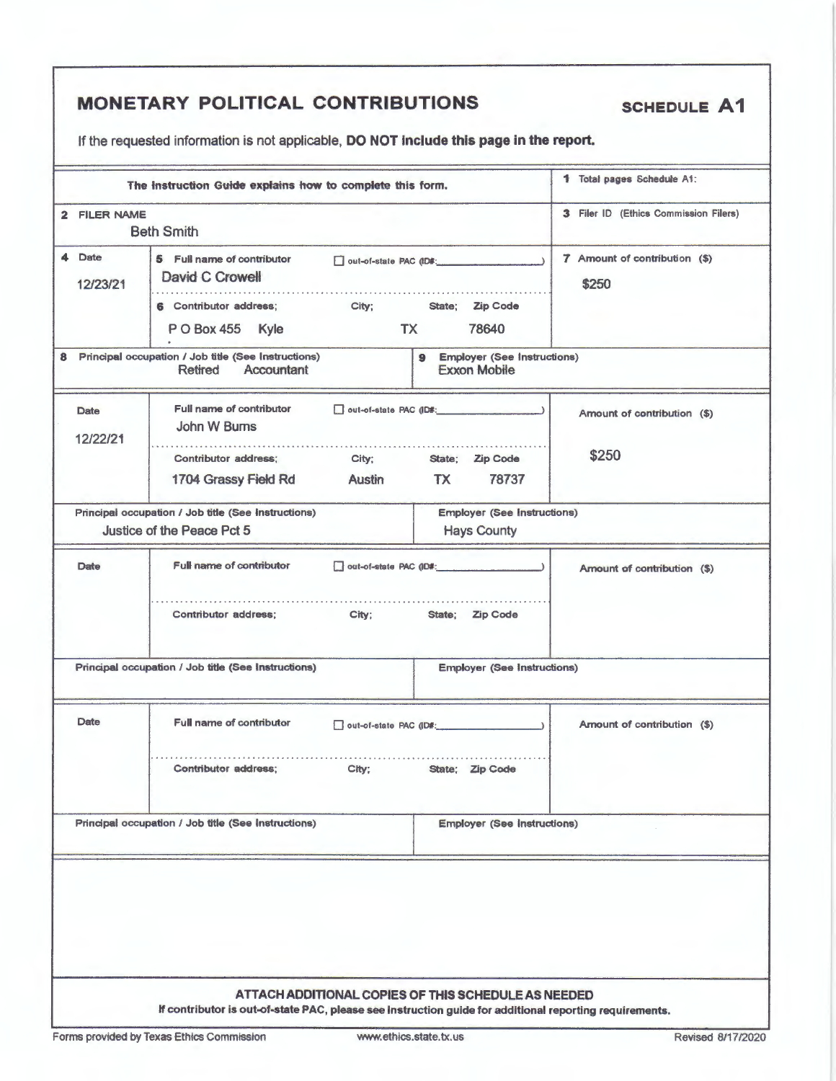|                                  |                                         | <b>MONETARY POLITICAL CONTRIBUTIONS</b>                                                                                                                        |                                                                        | <b>SCHEDULE A1</b>                     |
|----------------------------------|-----------------------------------------|----------------------------------------------------------------------------------------------------------------------------------------------------------------|------------------------------------------------------------------------|----------------------------------------|
|                                  |                                         | If the requested information is not applicable, DO NOT include this page in the report.                                                                        |                                                                        |                                        |
|                                  |                                         | The Instruction Guide explains how to complete this form.                                                                                                      |                                                                        | 1 Total pages Schedule A1:             |
|                                  | 2 FILER NAME                            | <b>Beth Smith</b>                                                                                                                                              |                                                                        | 3 Filer ID (Ethics Commission Filers)  |
| 4                                | Date<br>12/23/21                        | 5 Full name of contributor<br>David C Crowell<br>6 Contributor address;<br>City;                                                                               | out-of-state PAC (ID#:<br><b>Zip Code</b><br>State;                    | 7 Amount of contribution (\$)<br>\$250 |
|                                  |                                         | PO Box 455 Kyle<br>TX                                                                                                                                          | 78640                                                                  |                                        |
| 8                                |                                         | Principal occupation / Job title (See Instructions)<br><b>Retired</b><br>Accountant                                                                            | <b>Employer (See Instructions)</b><br>$\bullet$<br><b>Exxon Mobile</b> |                                        |
|                                  | <b>Date</b><br>12/22/21                 | Full name of contributor<br>out-of-state PAC (ID#:<br>John W Burns                                                                                             |                                                                        | Amount of contribution (\$)            |
|                                  |                                         | <b>Contributor address;</b><br>City;<br>1704 Grassy Field Rd<br>Austin                                                                                         | State; Zip Code<br>78737<br>TX T                                       | \$250                                  |
|                                  |                                         | Principal occupation / Job title (See Instructions)<br>Justice of the Peace Pct 5                                                                              | <b>Employer (See Instructions)</b><br><b>Hays County</b>               |                                        |
|                                  | <b>Full name of contributor</b><br>Date |                                                                                                                                                                | Amount of contribution (\$)                                            |                                        |
|                                  |                                         | Contributor address;<br>City:                                                                                                                                  | State; Zip Code                                                        |                                        |
|                                  |                                         | Principal occupation / Job title (See Instructions)                                                                                                            | <b>Employer (See Instructions)</b>                                     |                                        |
| Date<br>Full name of contributor |                                         | out-of-state PAC (ID#:                                                                                                                                         |                                                                        | Amount of contribution (\$)            |
|                                  |                                         | Contributor address;<br>$City$ :                                                                                                                               | State: Zip Code                                                        |                                        |
|                                  |                                         | Principal occupation / Job title (See Instructions)                                                                                                            | <b>Employer (See Instructions)</b>                                     |                                        |
|                                  |                                         |                                                                                                                                                                |                                                                        |                                        |
|                                  |                                         | ATTACH ADDITIONAL COPIES OF THIS SCHEDULE AS NEEDED<br>If contributor is out-of-state PAC, please see Instruction guide for additional reporting requirements. |                                                                        |                                        |